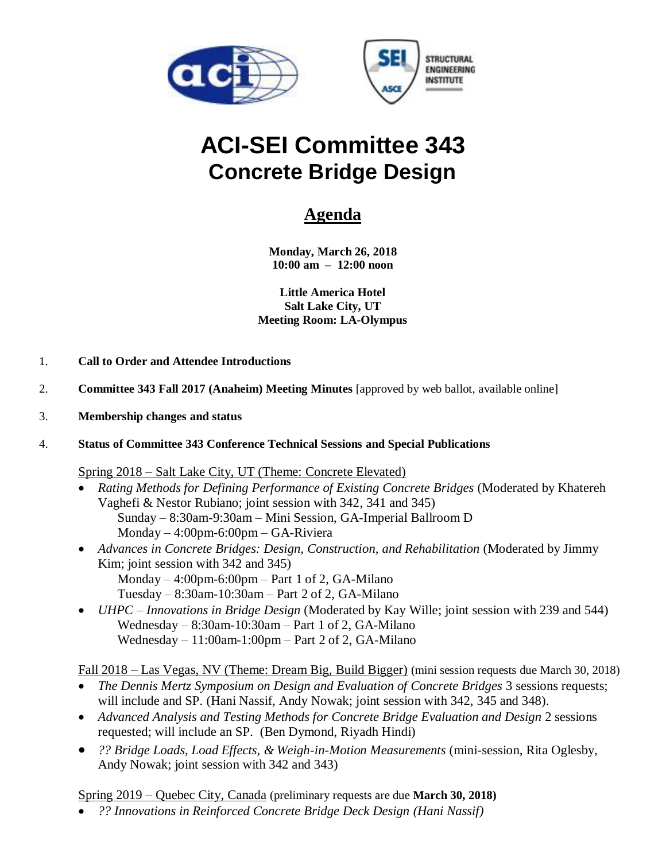



# **ACI-SEI Committee 343 Concrete Bridge Design**

## **Agenda**

**Monday, March 26, 2018 10:00 am – 12:00 noon**

**Little America Hotel Salt Lake City, UT Meeting Room: LA-Olympus**

- 1. **Call to Order and Attendee Introductions**
- 2. **Committee 343 Fall 2017 (Anaheim) Meeting Minutes** [approved by web ballot, available online]
- 3. **Membership changes and status**
- 4. **Status of Committee 343 Conference Technical Sessions and Special Publications**

Spring 2018 – Salt Lake City, UT (Theme: Concrete Elevated)

- *Rating Methods for Defining Performance of Existing Concrete Bridges* (Moderated by Khatereh Vaghefi & Nestor Rubiano; joint session with 342, 341 and 345) Sunday – 8:30am-9:30am – Mini Session, GA-Imperial Ballroom D Monday – 4:00pm-6:00pm – GA-Riviera
- *Advances in Concrete Bridges: Design, Construction, and Rehabilitation* (Moderated by Jimmy Kim; joint session with 342 and 345) Monday  $-4:00$ pm-6:00pm  $-$  Part 1 of 2, GA-Milano Tuesday – 8:30am-10:30am – Part 2 of 2, GA-Milano
- *UHPC – Innovations in Bridge Design* (Moderated by Kay Wille; joint session with 239 and 544) Wednesday – 8:30am-10:30am – Part 1 of 2, GA-Milano Wednesday – 11:00am-1:00pm – Part 2 of 2, GA-Milano

Fall 2018 – Las Vegas, NV (Theme: Dream Big, Build Bigger) (mini session requests due March 30, 2018)

- *The Dennis Mertz Symposium on Design and Evaluation of Concrete Bridges* 3 sessions requests; will include and SP. (Hani Nassif, Andy Nowak; joint session with 342, 345 and 348).
- *Advanced Analysis and Testing Methods for Concrete Bridge Evaluation and Design* 2 sessions requested; will include an SP. (Ben Dymond, Riyadh Hindi)
- *?? Bridge Loads, Load Effects, & Weigh-in-Motion Measurements* (mini-session, Rita Oglesby, Andy Nowak; joint session with 342 and 343)

Spring 2019 – Quebec City, Canada (preliminary requests are due **March 30, 2018)**

• *?? Innovations in Reinforced Concrete Bridge Deck Design (Hani Nassif)*